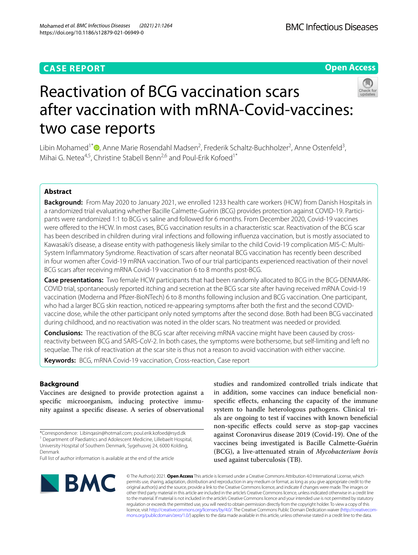## **CASE REPORT**

## **Open Access**



# Reactivation of BCG vaccination scars after vaccination with mRNA-Covid-vaccines: two case reports

Libin Mohamed<sup>1[\\*](http://orcid.org/0000-0001-9847-6055)</sup><sup>®</sup>, Anne Marie Rosendahl Madsen<sup>2</sup>, Frederik Schaltz-Buchholzer<sup>2</sup>, Anne Ostenfeld<sup>3</sup>, Mihai G. Netea<sup>4,5</sup>, Christine Stabell Benn<sup>2,6</sup> and Poul-Erik Kofoed<sup>1\*</sup>

## **Abstract**

**Background:** From May 2020 to January 2021, we enrolled 1233 health care workers (HCW) from Danish Hospitals in a randomized trial evaluating whether Bacille Calmette-Guérin (BCG) provides protection against COVID-19. Participants were randomized 1:1 to BCG vs saline and followed for 6 months. From December 2020, Covid-19 vaccines were offered to the HCW. In most cases, BCG vaccination results in a characteristic scar. Reactivation of the BCG scar has been described in children during viral infections and following infuenza vaccination, but is mostly associated to Kawasaki's disease, a disease entity with pathogenesis likely similar to the child Covid-19 complication MIS-C: Multi-System Infammatory Syndrome. Reactivation of scars after neonatal BCG vaccination has recently been described in four women after Covid-19 mRNA vaccination. Two of our trial participants experienced reactivation of their novel BCG scars after receiving mRNA Covid-19 vaccination 6 to 8 months post-BCG.

**Case presentations:** Two female HCW participants that had been randomly allocated to BCG in the BCG-DENMARK-COVID trial, spontaneously reported itching and secretion at the BCG scar site after having received mRNA Covid-19 vaccination (Moderna and Pfzer-BioNTech) 6 to 8 months following inclusion and BCG vaccination. One participant, who had a larger BCG skin reaction, noticed re-appearing symptoms after both the frst and the second COVIDvaccine dose, while the other participant only noted symptoms after the second dose. Both had been BCG vaccinated during childhood, and no reactivation was noted in the older scars. No treatment was needed or provided.

**Conclusions:** The reactivation of the BCG scar after receiving mRNA vaccine might have been caused by crossreactivity between BCG and SARS-CoV-2. In both cases, the symptoms were bothersome, but self-limiting and left no sequelae. The risk of reactivation at the scar site is thus not a reason to avoid vaccination with either vaccine.

**Keywords:** BCG, mRNA Covid-19 vaccination, Cross-reaction, Case report

## **Background**

Vaccines are designed to provide protection against a specifc microorganism, inducing protective immunity against a specifc disease. A series of observational

studies and randomized controlled trials indicate that in addition, some vaccines can induce benefcial nonspecifc efects, enhancing the capacity of the immune system to handle heterologous pathogens. Clinical trials are ongoing to test if vaccines with known benefcial non-specifc efects could serve as stop-gap vaccines against Coronavirus disease 2019 (Covid-19). One of the vaccines being investigated is Bacille Calmette-Guérin (BCG), a live-attenuated strain of *Mycobacterium bovis* used against tuberculosis (TB).



© The Author(s) 2021. **Open Access** This article is licensed under a Creative Commons Attribution 4.0 International License, which permits use, sharing, adaptation, distribution and reproduction in any medium or format, as long as you give appropriate credit to the original author(s) and the source, provide a link to the Creative Commons licence, and indicate if changes were made. The images or other third party material in this article are included in the article's Creative Commons licence, unless indicated otherwise in a credit line to the material. If material is not included in the article's Creative Commons licence and your intended use is not permitted by statutory regulation or exceeds the permitted use, you will need to obtain permission directly from the copyright holder. To view a copy of this licence, visit [http://creativecommons.org/licenses/by/4.0/.](http://creativecommons.org/licenses/by/4.0/) The Creative Commons Public Domain Dedication waiver (http://creativecom[mons.org/publicdomain/zero/1.0/\)](http://creativecommons.org/publicdomain/zero/1.0/) applies to the data made available in this article, unless otherwise stated in a credit line to the data.

<sup>\*</sup>Correspondence: Libinqasin@hotmail.com; poul.erik.kofoed@rsyd.dk <sup>1</sup> Department of Paediatrics and Adolescent Medicine, Lillebaelt Hospital, University Hospital of Southern Denmark, Sygehusvej 24, 6000 Kolding, Denmark

Full list of author information is available at the end of the article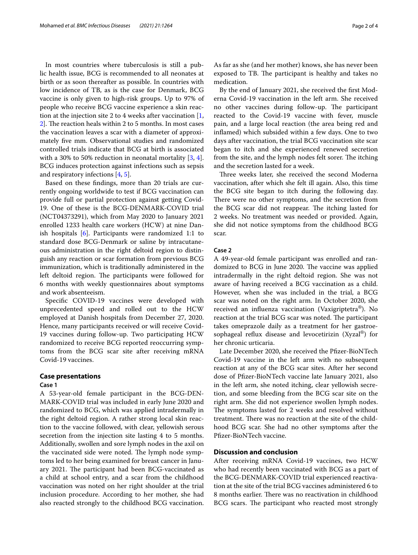In most countries where tuberculosis is still a public health issue, BCG is recommended to all neonates at birth or as soon thereafter as possible. In countries with low incidence of TB, as is the case for Denmark, BCG vaccine is only given to high-risk groups. Up to 97% of people who receive BCG vaccine experience a skin reaction at the injection site 2 to 4 weeks after vaccination [\[1](#page-3-0),  $2$ ]. The reaction heals within 2 to 5 months. In most cases the vaccination leaves a scar with a diameter of approximately fve mm. Observational studies and randomized controlled trials indicate that BCG at birth is associated with a 30% to 50% reduction in neonatal mortality [\[3](#page-3-2), [4](#page-3-3)]. BCG induces protection against infections such as sepsis and respiratory infections [\[4](#page-3-3), [5\]](#page-3-4).

Based on these fndings, more than 20 trials are currently ongoing worldwide to test if BCG vaccination can provide full or partial protection against getting Covid-19. One of these is the BCG-DENMARK-COVID trial (NCT04373291), which from May 2020 to January 2021 enrolled 1233 health care workers (HCW) at nine Danish hospitals [[6\]](#page-3-5). Participants were randomized 1:1 to standard dose BCG-Denmark or saline by intracutaneous administration in the right deltoid region to distinguish any reaction or scar formation from previous BCG immunization, which is traditionally administered in the left deltoid region. The participants were followed for 6 months with weekly questionnaires about symptoms and work absenteeism.

Specifc COVID-19 vaccines were developed with unprecedented speed and rolled out to the HCW employed at Danish hospitals from December 27, 2020. Hence, many participants received or will receive Covid-19 vaccines during follow-up. Two participating HCW randomized to receive BCG reported reoccurring symptoms from the BCG scar site after receiving mRNA Covid-19 vaccines.

#### **Case presentations**

#### **Case 1**

A 53-year-old female participant in the BCG-DEN-MARK-COVID trial was included in early June 2020 and randomized to BCG, which was applied intradermally in the right deltoid region. A rather strong local skin reaction to the vaccine followed, with clear, yellowish serous secretion from the injection site lasting 4 to 5 months. Additionally, swollen and sore lymph nodes in the axil on the vaccinated side were noted. The lymph node symptoms led to her being examined for breast cancer in January 2021. The participant had been BCG-vaccinated as a child at school entry, and a scar from the childhood vaccination was noted on her right shoulder at the trial inclusion procedure. According to her mother, she had also reacted strongly to the childhood BCG vaccination. As far as she (and her mother) knows, she has never been exposed to TB. The participant is healthy and takes no medication.

By the end of January 2021, she received the frst Moderna Covid-19 vaccination in the left arm. She received no other vaccines during follow-up. The participant reacted to the Covid-19 vaccine with fever, muscle pain, and a large local reaction (the area being red and infamed) which subsided within a few days. One to two days after vaccination, the trial BCG vaccination site scar began to itch and she experienced renewed secretion from the site, and the lymph nodes felt sorer. The itching and the secretion lasted for a week.

Three weeks later, she received the second Moderna vaccination, after which she felt ill again. Also, this time the BCG site began to itch during the following day. There were no other symptoms, and the secretion from the BCG scar did not reappear. The itching lasted for 2 weeks. No treatment was needed or provided. Again, she did not notice symptoms from the childhood BCG scar.

#### **Case 2**

A 49-year-old female participant was enrolled and randomized to BCG in June 2020. The vaccine was applied intradermally in the right deltoid region. She was not aware of having received a BCG vaccination as a child. However, when she was included in the trial, a BCG scar was noted on the right arm. In October 2020, she received an infuenza vaccination (Vaxigriptetra®). No reaction at the trial BCG scar was noted. The participant takes omeprazole daily as a treatment for her gastroesophageal reflux disease and levocetirizin  $(Xyzal^{\omega})$  for her chronic urticaria.

Late December 2020, she received the Pfizer-BioNTech Covid-19 vaccine in the left arm with no subsequent reaction at any of the BCG scar sites. After her second dose of Pfzer-BioNTech vaccine late January 2021, also in the left arm, she noted itching, clear yellowish secretion, and some bleeding from the BCG scar site on the right arm. She did not experience swollen lymph nodes. The symptoms lasted for 2 weeks and resolved without treatment. There was no reaction at the site of the childhood BCG scar. She had no other symptoms after the Pfizer-BioNTech vaccine.

## **Discussion and conclusion**

After receiving mRNA Covid-19 vaccines, two HCW who had recently been vaccinated with BCG as a part of the BCG-DENMARK-COVID trial experienced reactivation at the site of the trial BCG vaccines administered 6 to 8 months earlier. There was no reactivation in childhood BCG scars. The participant who reacted most strongly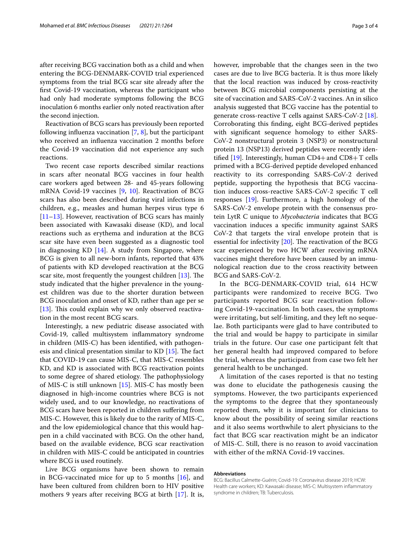after receiving BCG vaccination both as a child and when entering the BCG-DENMARK-COVID trial experienced symptoms from the trial BCG scar site already after the frst Covid-19 vaccination, whereas the participant who had only had moderate symptoms following the BCG inoculation 6 months earlier only noted reactivation after the second injection.

Reactivation of BCG scars has previously been reported following influenza vaccination  $[7, 8]$  $[7, 8]$  $[7, 8]$  $[7, 8]$  $[7, 8]$ , but the participant who received an infuenza vaccination 2 months before the Covid-19 vaccination did not experience any such reactions.

Two recent case reports described similar reactions in scars after neonatal BCG vaccines in four health care workers aged between 28- and 45-years following mRNA Covid-19 vaccines [[9,](#page-3-8) [10\]](#page-3-9). Reactivation of BCG scars has also been described during viral infections in children, e.g., measles and human herpes virus type 6 [[11–](#page-3-10)[13](#page-3-11)]. However, reactivation of BCG scars has mainly been associated with Kawasaki disease (KD), and local reactions such as erythema and induration at the BCG scar site have even been suggested as a diagnostic tool in diagnosing KD  $[14]$  $[14]$ . A study from Singapore, where BCG is given to all new-born infants, reported that 43% of patients with KD developed reactivation at the BCG scar site, most frequently the youngest children [\[13](#page-3-11)]. The study indicated that the higher prevalence in the youngest children was due to the shorter duration between BCG inoculation and onset of KD, rather than age per se [[13\]](#page-3-11). This could explain why we only observed reactivation in the most recent BCG scars.

Interestingly, a new pediatric disease associated with Covid-19, called multisystem infammatory syndrome in children (MIS-C) has been identifed, with pathogenesis and clinical presentation similar to  $KD$  [\[15](#page-3-13)]. The fact that COVID-19 can cause MIS-C, that MIS-C resembles KD, and KD is associated with BCG reactivation points to some degree of shared etiology. The pathophysiology of MIS-C is still unknown [[15\]](#page-3-13). MIS-C has mostly been diagnosed in high-income countries where BCG is not widely used, and to our knowledge, no reactivations of BCG scars have been reported in children sufering from MIS-C. However, this is likely due to the rarity of MIS-C, and the low epidemiological chance that this would happen in a child vaccinated with BCG. On the other hand, based on the available evidence, BCG scar reactivation in children with MIS-C could be anticipated in countries where BCG is used routinely.

Live BCG organisms have been shown to remain in BCG-vaccinated mice for up to 5 months [[16\]](#page-3-14), and have been cultured from children born to HIV positive mothers 9 years after receiving BCG at birth [[17\]](#page-3-15). It is, however, improbable that the changes seen in the two cases are due to live BCG bacteria. It is thus more likely that the local reaction was induced by cross-reactivity between BCG microbial components persisting at the site of vaccination and SARS-CoV-2 vaccines. An in silico analysis suggested that BCG vaccine has the potential to generate cross-reactive T cells against  $SARS-CoV-2$  [\[18](#page-3-16)]. Corroborating this fnding, eight BCG-derived peptides with signifcant sequence homology to either SARS-CoV-2 nonstructural protein 3 (NSP3) or nonstructural protein 13 (NSP13) derived peptides were recently identified  $[19]$  $[19]$ . Interestingly, human CD4+ and CD8+ T cells primed with a BCG-derived peptide developed enhanced reactivity to its corresponding SARS-CoV-2 derived peptide, supporting the hypothesis that BCG vaccination induces cross-reactive SARS-CoV-2 specifc T cell responses [\[19](#page-3-17)]. Furthermore, a high homology of the SARS-CoV-2 envelope protein with the consensus protein LytR C unique to *Mycobacteria* indicates that BCG vaccination induces a specifc immunity against SARS CoV-2 that targets the viral envelope protein that is essential for infectivity  $[20]$  $[20]$ . The reactivation of the BCG scar experienced by two HCW after receiving mRNA vaccines might therefore have been caused by an immunological reaction due to the cross reactivity between BCG and SARS-CoV-2.

In the BCG-DENMARK-COVID trial, 614 HCW participants were randomized to receive BCG. Two participants reported BCG scar reactivation following Covid-19-vaccination. In both cases, the symptoms were irritating, but self-limiting, and they left no sequelae. Both participants were glad to have contributed to the trial and would be happy to participate in similar trials in the future. Our case one participant felt that her general health had improved compared to before the trial, whereas the participant from case two felt her general health to be unchanged.

A limitation of the cases reported is that no testing was done to elucidate the pathogenesis causing the symptoms. However, the two participants experienced the symptoms to the degree that they spontaneously reported them, why it is important for clinicians to know about the possibility of seeing similar reactions and it also seems worthwhile to alert physicians to the fact that BCG scar reactivation might be an indicator of MIS-C. Still, there is no reason to avoid vaccination with either of the mRNA Covid-19 vaccines.

#### **Abbreviations**

BCG: Bacillus Calmette-Guérin; Covid-19: Coronavirus disease 2019; HCW: Health care workers; KD: Kawasaki disease; MIS-C: Multisystem infammatory syndrome in children; TB: Tuberculosis.